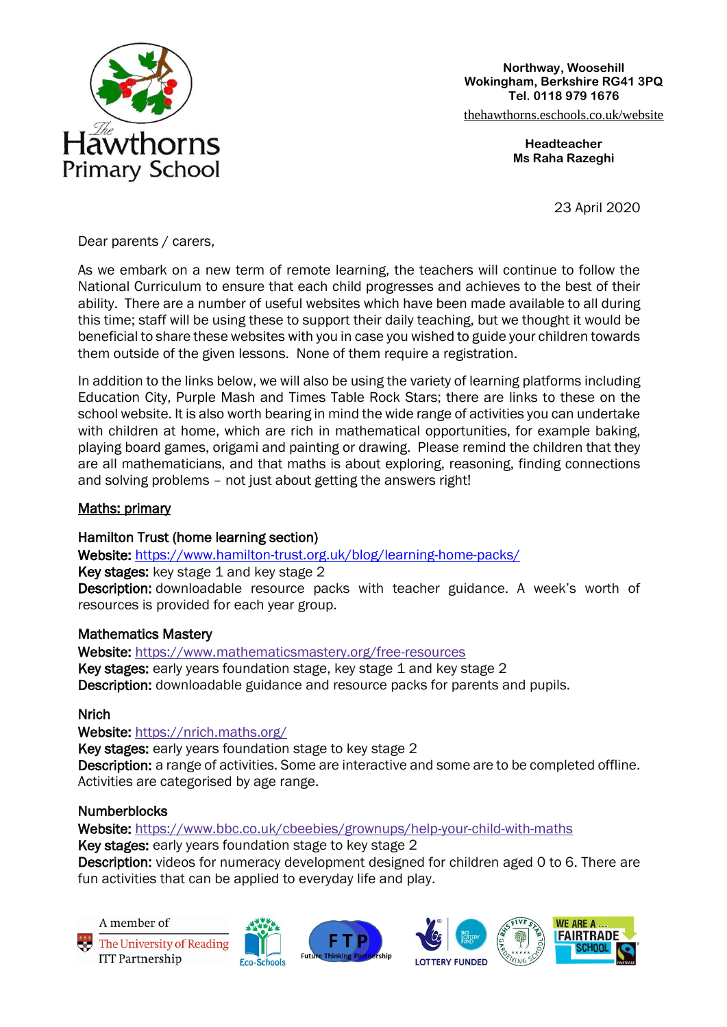

**Northway, Woosehill Wokingham, Berkshire RG41 3PQ Tel. 0118 979 1676**

[thehawthorns.eschools.co.uk/website](https://eur03.safelinks.protection.outlook.com/?url=https%3A%2F%2Fthehawthorns.eschools.co.uk%2Fwebsite&data=02%7C01%7CDiane.Cox%40wokingham.gov.uk%7C39ffe2a39fe949b879de08d7d00a79a4%7C996ee15c0b3e4a6f8e65120a9a51821a%7C0%7C0%7C637206615711988916&sdata=hWkRnHs6OgjKk5%2F6gvya%2BvGaRhoqd%2F970b44C44lCHg%3D&reserved=0)

**Headteacher Ms Raha Razeghi**

23 April 2020

Dear parents / carers,

As we embark on a new term of remote learning, the teachers will continue to follow the National Curriculum to ensure that each child progresses and achieves to the best of their ability. There are a number of useful websites which have been made available to all during this time; staff will be using these to support their daily teaching, but we thought it would be beneficial to share these websites with you in case you wished to guide your children towards them outside of the given lessons. None of them require a registration.

In addition to the links below, we will also be using the variety of learning platforms including Education City, Purple Mash and Times Table Rock Stars; there are links to these on the school website. It is also worth bearing in mind the wide range of activities you can undertake with children at home, which are rich in mathematical opportunities, for example baking, playing board games, origami and painting or drawing. Please remind the children that they are all mathematicians, and that maths is about exploring, reasoning, finding connections and solving problems – not just about getting the answers right!

### Maths: primary

### Hamilton Trust (home learning section)

Website: <https://www.hamilton-trust.org.uk/blog/learning-home-packs/>

Key stages: key stage 1 and key stage 2

Description: downloadable resource packs with teacher guidance. A week's worth of resources is provided for each year group.

### Mathematics Mastery

Website: <https://www.mathematicsmastery.org/free-resources> Key stages: early years foundation stage, key stage 1 and key stage 2 Description: downloadable guidance and resource packs for parents and pupils.

# **Nrich**

# Website: <https://nrich.maths.org/>

Key stages: early years foundation stage to key stage 2

Description: a range of activities. Some are interactive and some are to be completed offline. Activities are categorised by age range.

### **Numberblocks**

Website: <https://www.bbc.co.uk/cbeebies/grownups/help-your-child-with-maths>

Key stages: early years foundation stage to key stage 2

Description: videos for numeracy development designed for children aged 0 to 6. There are fun activities that can be applied to everyday life and play.